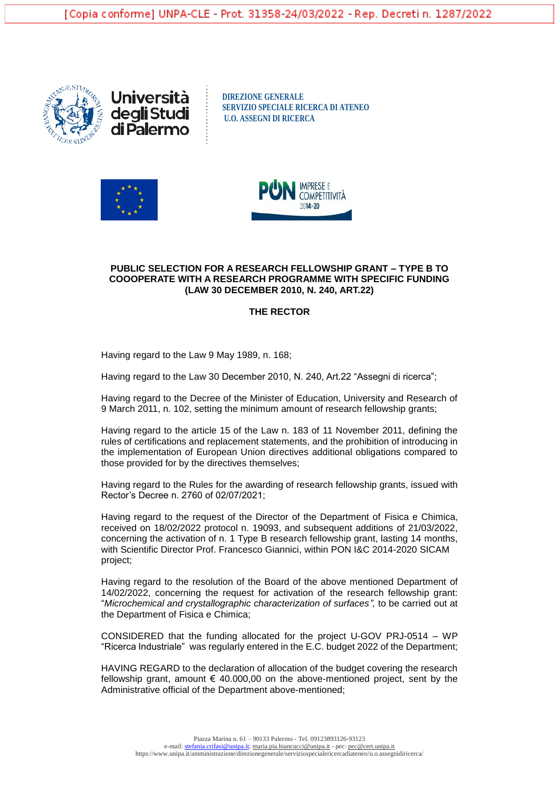



**DIREZIONE GENERALE SERVIZIO SPECIALE RICERCA DI ATENEO U.O. ASSEGNI DI RICERCA**





#### **PUBLIC SELECTION FOR A RESEARCH FELLOWSHIP GRANT – TYPE B TO COOOPERATE WITH A RESEARCH PROGRAMME WITH SPECIFIC FUNDING (LAW 30 DECEMBER 2010, N. 240, ART.22)**

# **THE RECTOR**

Having regard to the Law 9 May 1989, n. 168;

Having regard to the Law 30 December 2010, N. 240, Art.22 "Assegni di ricerca";

Having regard to the Decree of the Minister of Education, University and Research of 9 March 2011, n. 102, setting the minimum amount of research fellowship grants;

Having regard to the article 15 of the Law n. 183 of 11 November 2011, defining the rules of certifications and replacement statements, and the prohibition of introducing in the implementation of European Union directives additional obligations compared to those provided for by the directives themselves;

Having regard to the Rules for the awarding of research fellowship grants, issued with Rector's Decree n. 2760 of 02/07/2021;

Having regard to the request of the Director of the Department of Fisica e Chimica, received on 18/02/2022 protocol n. 19093, and subsequent additions of 21/03/2022, concerning the activation of n. 1 Type B research fellowship grant, lasting 14 months, with Scientific Director Prof. Francesco Giannici, within PON I&C 2014-2020 SICAM project;

Having regard to the resolution of the Board of the above mentioned Department of 14/02/2022, concerning the request for activation of the research fellowship grant: "*Microchemical and crystallographic characterization of surfaces",* to be carried out at the Department of Fisica e Chimica;

CONSIDERED that the funding allocated for the project U-GOV PRJ-0514 – WP "Ricerca Industriale" was regularly entered in the E.C. budget 2022 of the Department;

HAVING REGARD to the declaration of allocation of the budget covering the research fellowship grant, amount  $\epsilon$  40.000,00 on the above-mentioned project, sent by the Administrative official of the Department above-mentioned;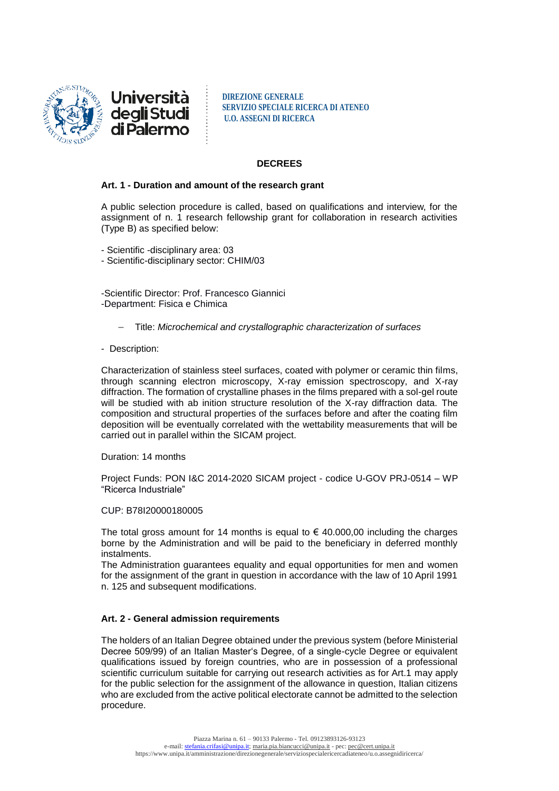

**DIREZIONE GENERALE SERVIZIO SPECIALE RICERCA DI ATENEO U.O. ASSEGNI DI RICERCA**

### **DECREES**

### **Art. 1 - Duration and amount of the research grant**

A public selection procedure is called, based on qualifications and interview, for the assignment of n. 1 research fellowship grant for collaboration in research activities (Type B) as specified below:

- Scientific -disciplinary area: 03
- Scientific-disciplinary sector: CHIM/03

-Scientific Director: Prof. Francesco Giannici -Department: Fisica e Chimica

- Title: *Microchemical and crystallographic characterization of surfaces*
- Description:

Characterization of stainless steel surfaces, coated with polymer or ceramic thin films, through scanning electron microscopy, X-ray emission spectroscopy, and X-ray diffraction. The formation of crystalline phases in the films prepared with a sol-gel route will be studied with ab inition structure resolution of the X-ray diffraction data. The composition and structural properties of the surfaces before and after the coating film deposition will be eventually correlated with the wettability measurements that will be carried out in parallel within the SICAM project.

Duration: 14 months

Project Funds: PON I&C 2014-2020 SICAM project - codice U-GOV PRJ-0514 – WP "Ricerca Industriale"

### CUP: B78I20000180005

The total gross amount for 14 months is equal to  $\epsilon$  40.000,00 including the charges borne by the Administration and will be paid to the beneficiary in deferred monthly instalments.

The Administration guarantees equality and equal opportunities for men and women for the assignment of the grant in question in accordance with the law of 10 April 1991 n. 125 and subsequent modifications.

### **Art. 2 - General admission requirements**

The holders of an Italian Degree obtained under the previous system (before Ministerial Decree 509/99) of an Italian Master's Degree, of a single-cycle Degree or equivalent qualifications issued by foreign countries, who are in possession of a professional scientific curriculum suitable for carrying out research activities as for Art.1 may apply for the public selection for the assignment of the allowance in question, Italian citizens who are excluded from the active political electorate cannot be admitted to the selection procedure.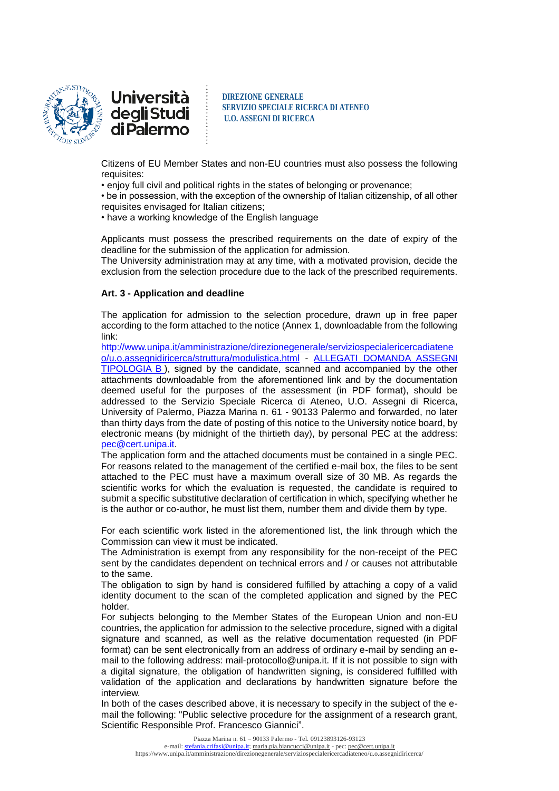

**DIREZIONE GENERALE SERVIZIO SPECIALE RICERCA DI ATENEO U.O. ASSEGNI DI RICERCA**

Citizens of EU Member States and non-EU countries must also possess the following requisites:

• enjoy full civil and political rights in the states of belonging or provenance;

• be in possession, with the exception of the ownership of Italian citizenship, of all other requisites envisaged for Italian citizens;

• have a working knowledge of the English language

Applicants must possess the prescribed requirements on the date of expiry of the deadline for the submission of the application for admission.

The University administration may at any time, with a motivated provision, decide the exclusion from the selection procedure due to the lack of the prescribed requirements.

# **Art. 3 - Application and deadline**

The application for admission to the selection procedure, drawn up in free paper according to the form attached to the notice (Annex 1, downloadable from the following link:

[http://www.unipa.it/amministrazione/direzionegenerale/serviziospecialericercadiatene](http://www.unipa.it/amministrazione/direzionegenerale/serviziospecialericercadiateneo/u.o.assegnidiricerca/struttura/modulistica.html) [o/u.o.assegnidiricerca/struttura/modulistica.html](http://www.unipa.it/amministrazione/direzionegenerale/serviziospecialericercadiateneo/u.o.assegnidiricerca/struttura/modulistica.html) - [ALLEGATI DOMANDA ASSEGNI](http://www.unipa.it/amministrazione/direzionegenerale/serviziospecialericercadiateneo/u.o.assegnidiricerca/.content/documenti/allegati_domanda_ass._tipologia_b_.doc)  [TIPOLOGIA B](http://www.unipa.it/amministrazione/direzionegenerale/serviziospecialericercadiateneo/u.o.assegnidiricerca/.content/documenti/allegati_domanda_ass._tipologia_b_.doc) ), signed by the candidate, scanned and accompanied by the other attachments downloadable from the aforementioned link and by the documentation deemed useful for the purposes of the assessment (in PDF format), should be addressed to the Servizio Speciale Ricerca di Ateneo, U.O. Assegni di Ricerca, University of Palermo, Piazza Marina n. 61 - 90133 Palermo and forwarded, no later than thirty days from the date of posting of this notice to the University notice board, by electronic means (by midnight of the thirtieth day), by personal PEC at the address: [pec@cert.unipa.it.](mailto:pec@cert.unipa.it)

The application form and the attached documents must be contained in a single PEC. For reasons related to the management of the certified e-mail box, the files to be sent attached to the PEC must have a maximum overall size of 30 MB. As regards the scientific works for which the evaluation is requested, the candidate is required to submit a specific substitutive declaration of certification in which, specifying whether he is the author or co-author, he must list them, number them and divide them by type.

For each scientific work listed in the aforementioned list, the link through which the Commission can view it must be indicated.

The Administration is exempt from any responsibility for the non-receipt of the PEC sent by the candidates dependent on technical errors and / or causes not attributable to the same.

The obligation to sign by hand is considered fulfilled by attaching a copy of a valid identity document to the scan of the completed application and signed by the PEC holder.

For subjects belonging to the Member States of the European Union and non-EU countries, the application for admission to the selective procedure, signed with a digital signature and scanned, as well as the relative documentation requested (in PDF format) can be sent electronically from an address of ordinary e-mail by sending an email to the following address: mail-protocollo@unipa.it. If it is not possible to sign with a digital signature, the obligation of handwritten signing, is considered fulfilled with validation of the application and declarations by handwritten signature before the interview.

In both of the cases described above, it is necessary to specify in the subject of the email the following: "Public selective procedure for the assignment of a research grant, Scientific Responsible Prof. Francesco Giannici".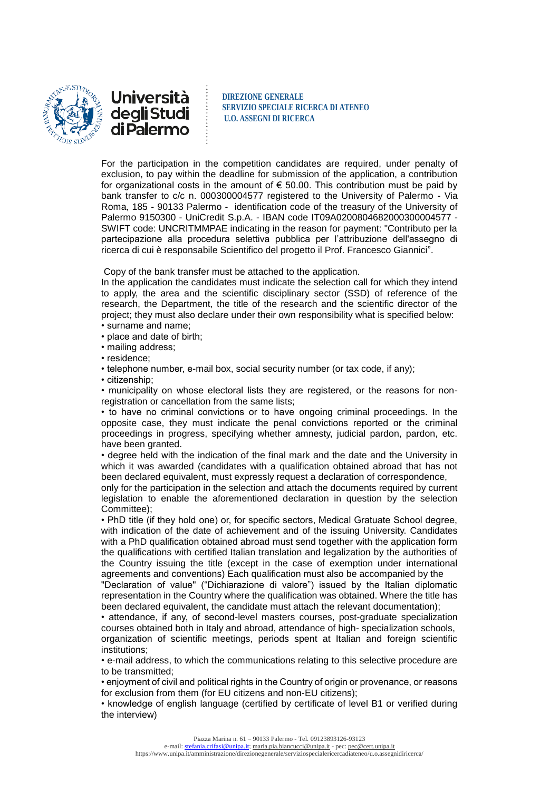



**DIREZIONE GENERALE SERVIZIO SPECIALE RICERCA DI ATENEO U.O. ASSEGNI DI RICERCA**

For the participation in the competition candidates are required, under penalty of exclusion, to pay within the deadline for submission of the application, a contribution for organizational costs in the amount of  $\epsilon$  50.00. This contribution must be paid by bank transfer to c/c n. 000300004577 registered to the University of Palermo - Via Roma, 185 - 90133 Palermo - identification code of the treasury of the University of Palermo 9150300 - UniCredit S.p.A. - IBAN code IT09A0200804682000300004577 - SWIFT code: UNCRITMMPAE indicating in the reason for payment: "Contributo per la partecipazione alla procedura selettiva pubblica per l'attribuzione dell'assegno di ricerca di cui è responsabile Scientifico del progetto il Prof. Francesco Giannici".

Copy of the bank transfer must be attached to the application.

In the application the candidates must indicate the selection call for which they intend to apply, the area and the scientific disciplinary sector (SSD) of reference of the research, the Department, the title of the research and the scientific director of the project; they must also declare under their own responsibility what is specified below: • surname and name;

- place and date of birth;
- mailing address;
- residence;

• telephone number, e-mail box, social security number (or tax code, if any);

• citizenship;

• municipality on whose electoral lists they are registered, or the reasons for nonregistration or cancellation from the same lists;

• to have no criminal convictions or to have ongoing criminal proceedings. In the opposite case, they must indicate the penal convictions reported or the criminal proceedings in progress, specifying whether amnesty, judicial pardon, pardon, etc. have been granted.

• degree held with the indication of the final mark and the date and the University in which it was awarded (candidates with a qualification obtained abroad that has not been declared equivalent, must expressly request a declaration of correspondence,

only for the participation in the selection and attach the documents required by current legislation to enable the aforementioned declaration in question by the selection Committee);

• PhD title (if they hold one) or, for specific sectors, Medical Gratuate School degree, with indication of the date of achievement and of the issuing University. Candidates with a PhD qualification obtained abroad must send together with the application form the qualifications with certified Italian translation and legalization by the authorities of the Country issuing the title (except in the case of exemption under international agreements and conventions) Each qualification must also be accompanied by the

"Declaration of value" ("Dichiarazione di valore") issued by the Italian diplomatic representation in the Country where the qualification was obtained. Where the title has been declared equivalent, the candidate must attach the relevant documentation);

• attendance, if any, of second-level masters courses, post-graduate specialization courses obtained both in Italy and abroad, attendance of high- specialization schools, organization of scientific meetings, periods spent at Italian and foreign scientific institutions;

• e-mail address, to which the communications relating to this selective procedure are to be transmitted;

• enjoyment of civil and political rights in the Country of origin or provenance, or reasons for exclusion from them (for EU citizens and non-EU citizens);

• knowledge of english language (certified by certificate of level B1 or verified during the interview)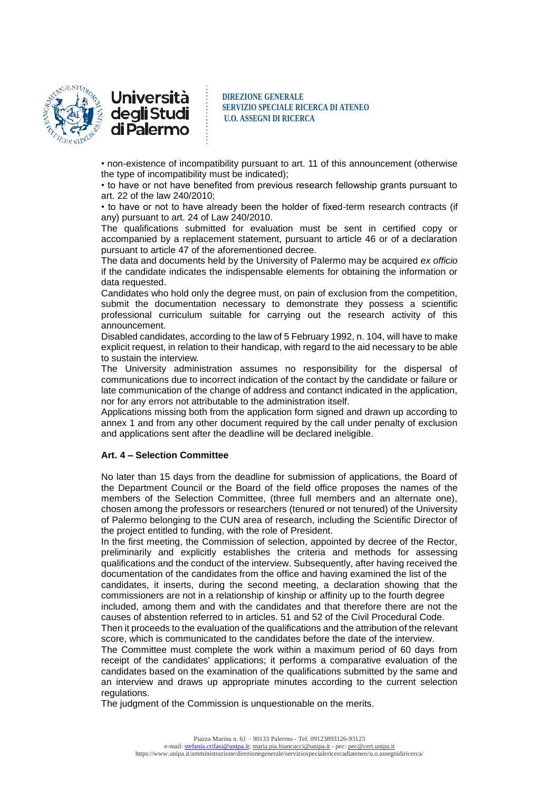

**DIREZIONE GENERALE SERVIZIO SPECIALE RICERCA DI ATENEO U.O. ASSEGNI DI RICERCA**

• non-existence of incompatibility pursuant to art. 11 of this announcement (otherwise the type of incompatibility must be indicated);

• to have or not have benefited from previous research fellowship grants pursuant to art. 22 of the law 240/2010;

• to have or not to have already been the holder of fixed-term research contracts (if any) pursuant to art. 24 of Law 240/2010.

The qualifications submitted for evaluation must be sent in certified copy or accompanied by a replacement statement, pursuant to article 46 or of a declaration pursuant to article 47 of the aforementioned decree.

The data and documents held by the University of Palermo may be acquired *ex officio* if the candidate indicates the indispensable elements for obtaining the information or data requested.

Candidates who hold only the degree must, on pain of exclusion from the competition, submit the documentation necessary to demonstrate they possess a scientific professional curriculum suitable for carrying out the research activity of this announcement.

Disabled candidates, according to the law of 5 February 1992, n. 104, will have to make explicit request, in relation to their handicap, with regard to the aid necessary to be able to sustain the interview.

The University administration assumes no responsibility for the dispersal of communications due to incorrect indication of the contact by the candidate or failure or late communication of the change of address and contanct indicated in the application, nor for any errors not attributable to the administration itself.

Applications missing both from the application form signed and drawn up according to annex 1 and from any other document required by the call under penalty of exclusion and applications sent after the deadline will be declared ineligible.

### **Art. 4 – Selection Committee**

No later than 15 days from the deadline for submission of applications, the Board of the Department Council or the Board of the field office proposes the names of the members of the Selection Committee, (three full members and an alternate one), chosen among the professors or researchers (tenured or not tenured) of the University of Palermo belonging to the CUN area of research, including the Scientific Director of the project entitled to funding, with the role of President.

In the first meeting, the Commission of selection, appointed by decree of the Rector, preliminarily and explicitly establishes the criteria and methods for assessing qualifications and the conduct of the interview. Subsequently, after having received the documentation of the candidates from the office and having examined the list of the

candidates, it inserts, during the second meeting, a declaration showing that the commissioners are not in a relationship of kinship or affinity up to the fourth degree included, among them and with the candidates and that therefore there are not the causes of abstention referred to in articles. 51 and 52 of the Civil Procedural Code.

Then it proceeds to the evaluation of the qualifications and the attribution of the relevant score, which is communicated to the candidates before the date of the interview.

The Committee must complete the work within a maximum period of 60 days from receipt of the candidates' applications; it performs a comparative evaluation of the candidates based on the examination of the qualifications submitted by the same and an interview and draws up appropriate minutes according to the current selection regulations.

The judgment of the Commission is unquestionable on the merits.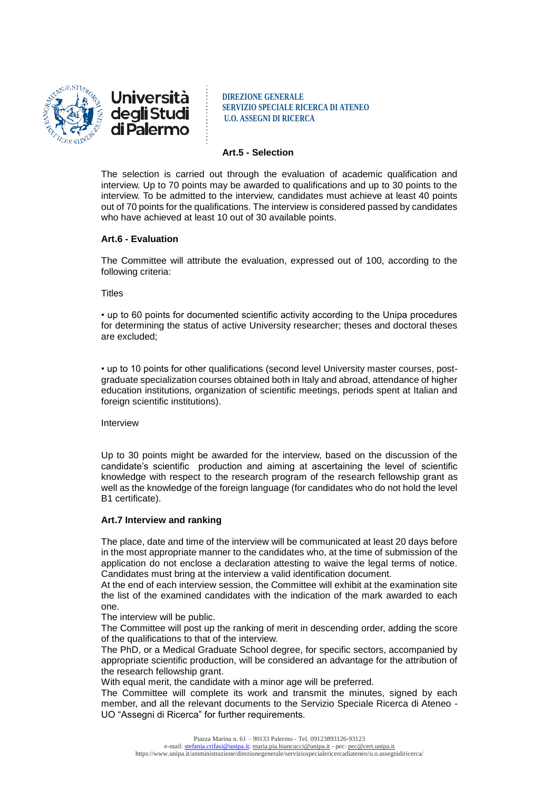

**DIREZIONE GENERALE SERVIZIO SPECIALE RICERCA DI ATENEO U.O. ASSEGNI DI RICERCA**

# **Art.5 - Selection**

The selection is carried out through the evaluation of academic qualification and interview. Up to 70 points may be awarded to qualifications and up to 30 points to the interview. To be admitted to the interview, candidates must achieve at least 40 points out of 70 points for the qualifications. The interview is considered passed by candidates who have achieved at least 10 out of 30 available points.

# **Art.6 - Evaluation**

The Committee will attribute the evaluation, expressed out of 100, according to the following criteria:

#### **Titles**

• up to 60 points for documented scientific activity according to the Unipa procedures for determining the status of active University researcher; theses and doctoral theses are excluded;

• up to 10 points for other qualifications (second level University master courses, postgraduate specialization courses obtained both in Italy and abroad, attendance of higher education institutions, organization of scientific meetings, periods spent at Italian and foreign scientific institutions).

Interview

Up to 30 points might be awarded for the interview, based on the discussion of the candidate's scientific production and aiming at ascertaining the level of scientific knowledge with respect to the research program of the research fellowship grant as well as the knowledge of the foreign language (for candidates who do not hold the level B1 certificate).

### **Art.7 Interview and ranking**

The place, date and time of the interview will be communicated at least 20 days before in the most appropriate manner to the candidates who, at the time of submission of the application do not enclose a declaration attesting to waive the legal terms of notice. Candidates must bring at the interview a valid identification document.

At the end of each interview session, the Committee will exhibit at the examination site the list of the examined candidates with the indication of the mark awarded to each one.

The interview will be public.

The Committee will post up the ranking of merit in descending order, adding the score of the qualifications to that of the interview.

The PhD, or a Medical Graduate School degree, for specific sectors, accompanied by appropriate scientific production, will be considered an advantage for the attribution of the research fellowship grant.

With equal merit, the candidate with a minor age will be preferred.

The Committee will complete its work and transmit the minutes, signed by each member, and all the relevant documents to the Servizio Speciale Ricerca di Ateneo - UO "Assegni di Ricerca" for further requirements.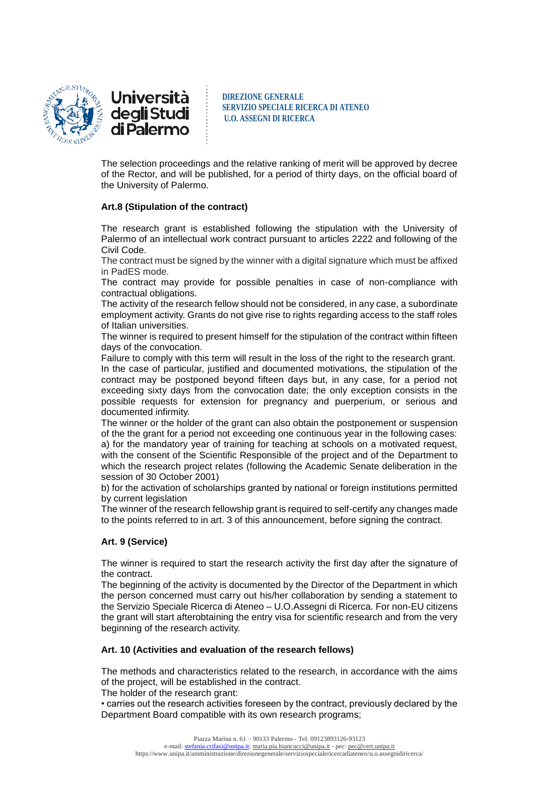

<u>Università</u> degli Studi di Palermo

**DIREZIONE GENERALE SERVIZIO SPECIALE RICERCA DI ATENEO U.O. ASSEGNI DI RICERCA**

The selection proceedings and the relative ranking of merit will be approved by decree of the Rector, and will be published, for a period of thirty days, on the official board of the University of Palermo.

# **Art.8 (Stipulation of the contract)**

The research grant is established following the stipulation with the University of Palermo of an intellectual work contract pursuant to articles 2222 and following of the Civil Code.

The contract must be signed by the winner with a digital signature which must be affixed in PadES mode.

The contract may provide for possible penalties in case of non-compliance with contractual obligations.

The activity of the research fellow should not be considered, in any case, a subordinate employment activity. Grants do not give rise to rights regarding access to the staff roles of Italian universities.

The winner is required to present himself for the stipulation of the contract within fifteen days of the convocation.

Failure to comply with this term will result in the loss of the right to the research grant. In the case of particular, justified and documented motivations, the stipulation of the contract may be postponed beyond fifteen days but, in any case, for a period not exceeding sixty days from the convocation date; the only exception consists in the possible requests for extension for pregnancy and puerperium, or serious and documented infirmity.

The winner or the holder of the grant can also obtain the postponement or suspension of the the grant for a period not exceeding one continuous year in the following cases: a) for the mandatory year of training for teaching at schools on a motivated request, with the consent of the Scientific Responsible of the project and of the Department to which the research project relates (following the Academic Senate deliberation in the session of 30 October 2001)

b) for the activation of scholarships granted by national or foreign institutions permitted by current legislation

The winner of the research fellowship grant is required to self-certify any changes made to the points referred to in art. 3 of this announcement, before signing the contract.

# **Art. 9 (Service)**

The winner is required to start the research activity the first day after the signature of the contract.

The beginning of the activity is documented by the Director of the Department in which the person concerned must carry out his/her collaboration by sending a statement to the Servizio Speciale Ricerca di Ateneo – U.O.Assegni di Ricerca. For non-EU citizens the grant will start afterobtaining the entry visa for scientific research and from the very beginning of the research activity.

### **Art. 10 (Activities and evaluation of the research fellows)**

The methods and characteristics related to the research, in accordance with the aims of the project, will be established in the contract.

The holder of the research grant:

• carries out the research activities foreseen by the contract, previously declared by the Department Board compatible with its own research programs;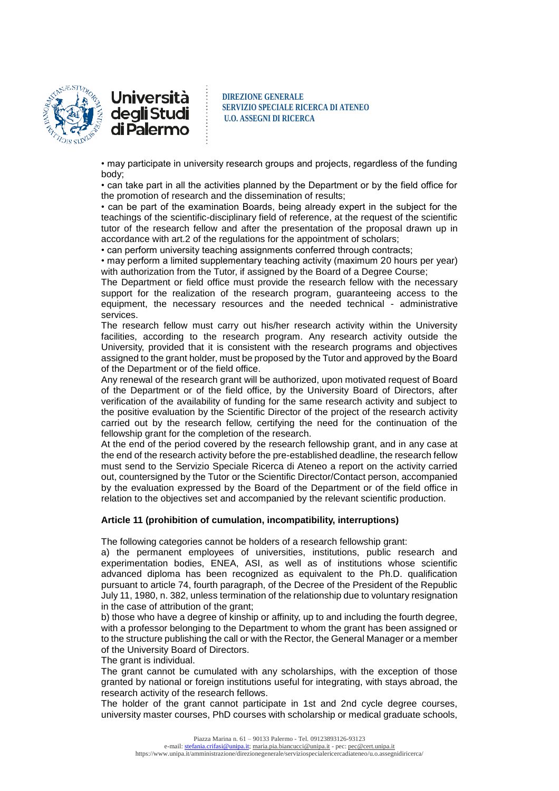

**DIREZIONE GENERALE SERVIZIO SPECIALE RICERCA DI ATENEO U.O. ASSEGNI DI RICERCA**

• may participate in university research groups and projects, regardless of the funding body;

• can take part in all the activities planned by the Department or by the field office for the promotion of research and the dissemination of results;

• can be part of the examination Boards, being already expert in the subject for the teachings of the scientific-disciplinary field of reference, at the request of the scientific tutor of the research fellow and after the presentation of the proposal drawn up in accordance with art.2 of the regulations for the appointment of scholars;

• can perform university teaching assignments conferred through contracts;

• may perform a limited supplementary teaching activity (maximum 20 hours per year) with authorization from the Tutor, if assigned by the Board of a Degree Course;

The Department or field office must provide the research fellow with the necessary support for the realization of the research program, guaranteeing access to the equipment, the necessary resources and the needed technical - administrative services.

The research fellow must carry out his/her research activity within the University facilities, according to the research program. Any research activity outside the University, provided that it is consistent with the research programs and objectives assigned to the grant holder, must be proposed by the Tutor and approved by the Board of the Department or of the field office.

Any renewal of the research grant will be authorized, upon motivated request of Board of the Department or of the field office, by the University Board of Directors, after verification of the availability of funding for the same research activity and subject to the positive evaluation by the Scientific Director of the project of the research activity carried out by the research fellow, certifying the need for the continuation of the fellowship grant for the completion of the research.

At the end of the period covered by the research fellowship grant, and in any case at the end of the research activity before the pre-established deadline, the research fellow must send to the Servizio Speciale Ricerca di Ateneo a report on the activity carried out, countersigned by the Tutor or the Scientific Director/Contact person, accompanied by the evaluation expressed by the Board of the Department or of the field office in relation to the objectives set and accompanied by the relevant scientific production.

### **Article 11 (prohibition of cumulation, incompatibility, interruptions)**

The following categories cannot be holders of a research fellowship grant:

a) the permanent employees of universities, institutions, public research and experimentation bodies, ENEA, ASI, as well as of institutions whose scientific advanced diploma has been recognized as equivalent to the Ph.D. qualification pursuant to article 74, fourth paragraph, of the Decree of the President of the Republic July 11, 1980, n. 382, unless termination of the relationship due to voluntary resignation in the case of attribution of the grant;

b) those who have a degree of kinship or affinity, up to and including the fourth degree, with a professor belonging to the Department to whom the grant has been assigned or to the structure publishing the call or with the Rector, the General Manager or a member of the University Board of Directors.

The grant is individual.

The grant cannot be cumulated with any scholarships, with the exception of those granted by national or foreign institutions useful for integrating, with stays abroad, the research activity of the research fellows.

The holder of the grant cannot participate in 1st and 2nd cycle degree courses, university master courses, PhD courses with scholarship or medical graduate schools,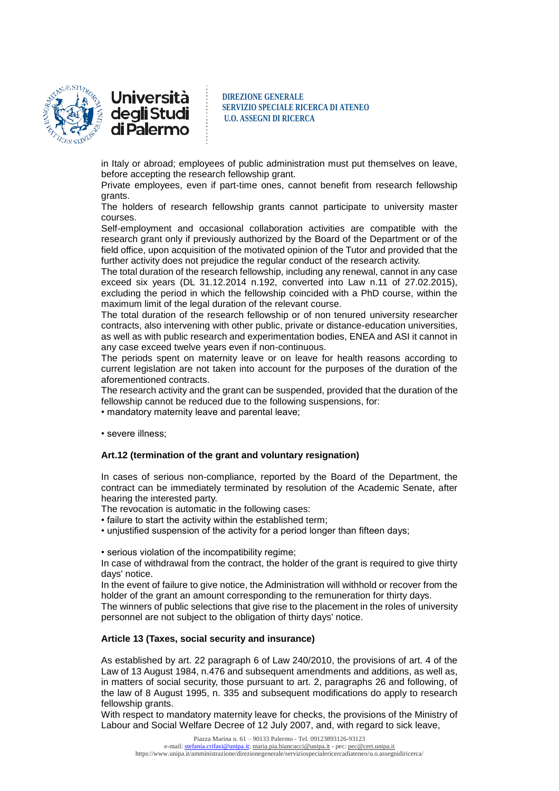

<u>Università</u> degli Studi<br>di Palermo

**DIREZIONE GENERALE SERVIZIO SPECIALE RICERCA DI ATENEO U.O. ASSEGNI DI RICERCA**

in Italy or abroad; employees of public administration must put themselves on leave, before accepting the research fellowship grant.

Private employees, even if part-time ones, cannot benefit from research fellowship grants.

The holders of research fellowship grants cannot participate to university master courses.

Self-employment and occasional collaboration activities are compatible with the research grant only if previously authorized by the Board of the Department or of the field office, upon acquisition of the motivated opinion of the Tutor and provided that the further activity does not prejudice the regular conduct of the research activity.

The total duration of the research fellowship, including any renewal, cannot in any case exceed six years (DL 31.12.2014 n.192, converted into Law n.11 of 27.02.2015), excluding the period in which the fellowship coincided with a PhD course, within the maximum limit of the legal duration of the relevant course.

The total duration of the research fellowship or of non tenured university researcher contracts, also intervening with other public, private or distance-education universities, as well as with public research and experimentation bodies, ENEA and ASI it cannot in any case exceed twelve years even if non-continuous.

The periods spent on maternity leave or on leave for health reasons according to current legislation are not taken into account for the purposes of the duration of the aforementioned contracts.

The research activity and the grant can be suspended, provided that the duration of the fellowship cannot be reduced due to the following suspensions, for:

• mandatory maternity leave and parental leave;

• severe illness;

### **Art.12 (termination of the grant and voluntary resignation)**

In cases of serious non-compliance, reported by the Board of the Department, the contract can be immediately terminated by resolution of the Academic Senate, after hearing the interested party.

The revocation is automatic in the following cases:

• failure to start the activity within the established term;

• unjustified suspension of the activity for a period longer than fifteen days:

• serious violation of the incompatibility regime;

In case of withdrawal from the contract, the holder of the grant is required to give thirty days' notice.

In the event of failure to give notice, the Administration will withhold or recover from the holder of the grant an amount corresponding to the remuneration for thirty days.

The winners of public selections that give rise to the placement in the roles of university personnel are not subject to the obligation of thirty days' notice.

### **Article 13 (Taxes, social security and insurance)**

As established by art. 22 paragraph 6 of Law 240/2010, the provisions of art. 4 of the Law of 13 August 1984, n.476 and subsequent amendments and additions, as well as, in matters of social security, those pursuant to art. 2, paragraphs 26 and following, of the law of 8 August 1995, n. 335 and subsequent modifications do apply to research fellowship grants.

With respect to mandatory maternity leave for checks, the provisions of the Ministry of Labour and Social Welfare Decree of 12 July 2007, and, with regard to sick leave,